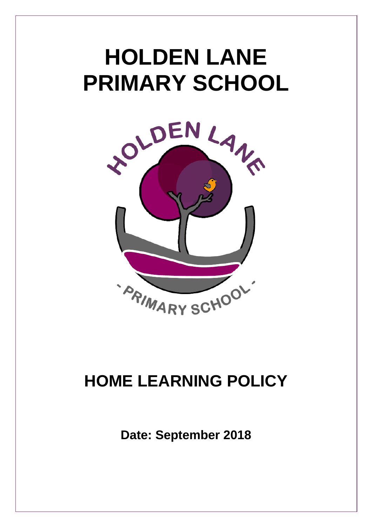# **HOLDEN LANE PRIMARY SCHOOL**



## **HOME LEARNING POLICY**

**Date: September 2018**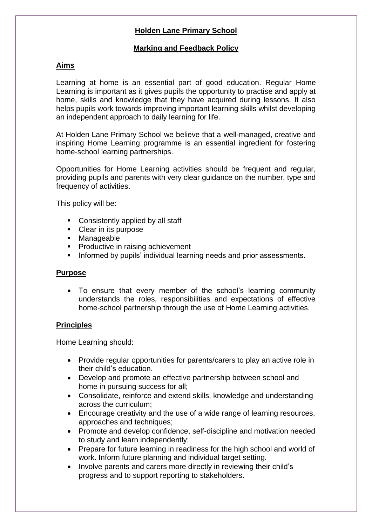### **Holden Lane Primary School**

#### **Marking and Feedback Policy**

#### **Aims**

Learning at home is an essential part of good education. Regular Home Learning is important as it gives pupils the opportunity to practise and apply at home, skills and knowledge that they have acquired during lessons. It also helps pupils work towards improving important learning skills whilst developing an independent approach to daily learning for life.

At Holden Lane Primary School we believe that a well-managed, creative and inspiring Home Learning programme is an essential ingredient for fostering home-school learning partnerships.

Opportunities for Home Learning activities should be frequent and regular, providing pupils and parents with very clear guidance on the number, type and frequency of activities.

This policy will be:

- Consistently applied by all staff
- Clear in its purpose
- Manageable
- **Productive in raising achievement**
- Informed by pupils' individual learning needs and prior assessments.

#### **Purpose**

 To ensure that every member of the school's learning community understands the roles, responsibilities and expectations of effective home-school partnership through the use of Home Learning activities.

#### **Principles**

Home Learning should:

- Provide regular opportunities for parents/carers to play an active role in their child's education.
- Develop and promote an effective partnership between school and home in pursuing success for all;
- Consolidate, reinforce and extend skills, knowledge and understanding across the curriculum;
- Encourage creativity and the use of a wide range of learning resources, approaches and techniques;
- Promote and develop confidence, self-discipline and motivation needed to study and learn independently;
- Prepare for future learning in readiness for the high school and world of work. Inform future planning and individual target setting.
- Involve parents and carers more directly in reviewing their child's progress and to support reporting to stakeholders.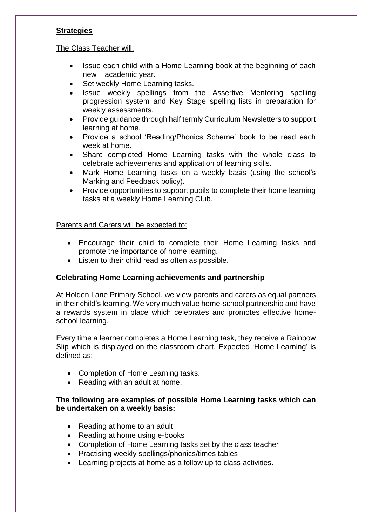#### **Strategies**

#### The Class Teacher will:

- Issue each child with a Home Learning book at the beginning of each new academic year.
- Set weekly Home Learning tasks.
- Issue weekly spellings from the Assertive Mentoring spelling progression system and Key Stage spelling lists in preparation for weekly assessments.
- Provide guidance through half termly Curriculum Newsletters to support learning at home.
- Provide a school 'Reading/Phonics Scheme' book to be read each week at home.
- Share completed Home Learning tasks with the whole class to celebrate achievements and application of learning skills.
- Mark Home Learning tasks on a weekly basis (using the school's Marking and Feedback policy).
- Provide opportunities to support pupils to complete their home learning tasks at a weekly Home Learning Club.

#### Parents and Carers will be expected to:

- Encourage their child to complete their Home Learning tasks and promote the importance of home learning.
- Listen to their child read as often as possible.

#### **Celebrating Home Learning achievements and partnership**

At Holden Lane Primary School, we view parents and carers as equal partners in their child's learning. We very much value home-school partnership and have a rewards system in place which celebrates and promotes effective homeschool learning.

Every time a learner completes a Home Learning task, they receive a Rainbow Slip which is displayed on the classroom chart. Expected 'Home Learning' is defined as:

- Completion of Home Learning tasks.
- Reading with an adult at home.

#### **The following are examples of possible Home Learning tasks which can be undertaken on a weekly basis:**

- Reading at home to an adult
- Reading at home using e-books
- Completion of Home Learning tasks set by the class teacher
- Practising weekly spellings/phonics/times tables
- Learning projects at home as a follow up to class activities.